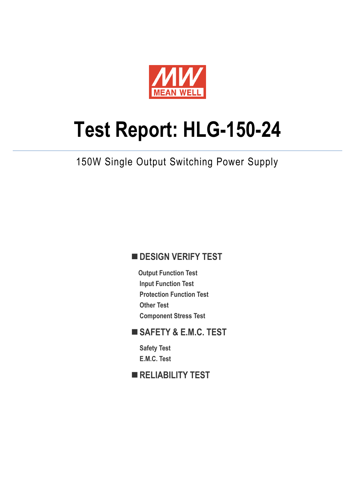

# **Test Report: HLG-150-24**

150W Single Output Switching Power Supply

#### **DESIGN VERIFY TEST**

**Output Function Test Input Function Test Protection Function Test Other Test Component Stress Test**

#### **SAFETY & E.M.C. TEST**

**Safety Test E.M.C. Test**

**RELIABILITY TEST**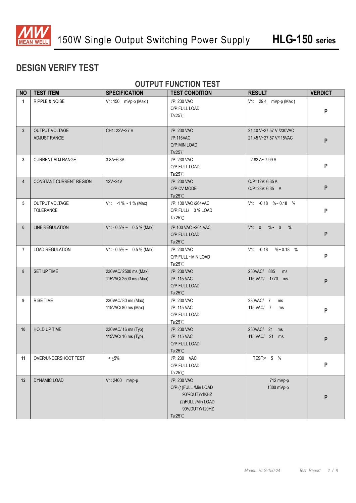

#### **DESIGN VERIFY TEST**

#### **OUTPUT FUNCTION TEST**

| <b>NO</b>      | <b>TEST ITEM</b>                      | <b>SPECIFICATION</b>                         | <b>TEST CONDITION</b>                                                                                               | <b>RESULT</b>                                     | <b>VERDICT</b> |
|----------------|---------------------------------------|----------------------------------------------|---------------------------------------------------------------------------------------------------------------------|---------------------------------------------------|----------------|
| $\mathbf{1}$   | <b>RIPPLE &amp; NOISE</b>             | V1: 150 mVp-p (Max)                          | I/P: 230 VAC<br>O/P:FULL LOAD<br>Ta: $25^{\circ}$ C                                                                 | V1: 29.4 mVp-p (Max)                              |                |
| $\overline{2}$ | <b>OUTPUT VOLTAGE</b><br>ADJUST RANGE | CH1: 22V~27 V                                | I/P: 230 VAC<br>I/P:115VAC<br>O/P:MIN LOAD<br>Ta: $25^{\circ}$ C                                                    | 21.40 V~27.57 V /230VAC<br>21.45 V~27.57 V/115VAC | P              |
| 3              | <b>CURRENT ADJ RANGE</b>              | 3.8A~6.3A                                    | I/P: 230 VAC<br>O/P:FULL LOAD<br>Ta: $25^{\circ}$ C                                                                 | 2.83 A~7.99 A                                     | P              |
| $\overline{4}$ | <b>CONSTANT CURRENT REGION</b>        | 12V~24V                                      | I/P: 230 VAC<br>O/P:CV MODE<br>Ta: $25^{\circ}$ C                                                                   | O/P=12V: 6.35 A<br>O/P=23V: 6.35 A                | P              |
| 5              | OUTPUT VOLTAGE<br><b>TOLERANCE</b>    | $V1: -1\% \sim 1\%$ (Max)                    | I/P: 100 VAC /264VAC<br>O/P:FULL/ 0% LOAD<br>Ta: $25^{\circ}$ C                                                     | V1: -0.18 %~0.18 %                                | P              |
| 6              | <b>LINE REGULATION</b>                | $V1: -0.5\% \sim 0.5\%$ (Max)                | I/P:100 VAC ~264 VAC<br>O/P:FULL LOAD<br>Ta: $25^{\circ}$ C                                                         | V1: 0<br>$% ~ 0$ %                                | P              |
| $\overline{7}$ | <b>LOAD REGULATION</b>                | $V1: -0.5\% \sim 0.5\%$ (Max)                | I/P: 230 VAC<br>O/P:FULL ~MIN LOAD<br>Ta: $25^{\circ}$ C                                                            | $V1: -0.18$<br>$\%$ ~ 0.18 %                      | P              |
| 8              | SET UP TIME                           | 230VAC/2500 ms (Max)<br>115VAC/2500 ms (Max) | I/P: 230 VAC<br>I/P: 115 VAC<br>O/P:FULL LOAD<br>Ta: $25^{\circ}$ C                                                 | 230VAC/ 885<br>ms<br>115 VAC/ 1770 ms             | P              |
| 9              | <b>RISE TIME</b>                      | 230VAC/80 ms (Max)<br>115VAC/80 ms (Max)     | I/P: 230 VAC<br>I/P: 115 VAC<br>O/P:FULL LOAD<br>Ta: $25^{\circ}$ C                                                 | 230VAC/ 7<br>ms<br>115 VAC/ 7<br>ms               | P              |
| 10             | HOLD UP TIME                          | 230VAC/ 16 ms (Typ)<br>115VAC/ 16 ms (Typ)   | I/P: 230 VAC<br>I/P: 115 VAC<br>O/P:FULL LOAD<br>Ta: $25^{\circ}$ C                                                 | 230VAC/ 21 ms<br>115 VAC/ 21 ms                   | P              |
| 11             | OVER/UNDERSHOOT TEST                  | $< 1.5\%$                                    | I/P: 230 VAC<br>O/P:FULL LOAD<br>Ta: $25^{\circ}$ C                                                                 | TEST:< 5 %                                        | P              |
| 12             | DYNAMIC LOAD                          | V1:2400 mVp-p                                | I/P: 230 VAC<br>O/P:(1)FULL /Min LOAD<br>90%DUTY/1KHZ<br>(2) FULL / Min LOAD<br>90%DUTY/120HZ<br>Ta: $25^{\circ}$ C | 712 mVp-p<br>1300 mVp-p                           | ${\sf P}$      |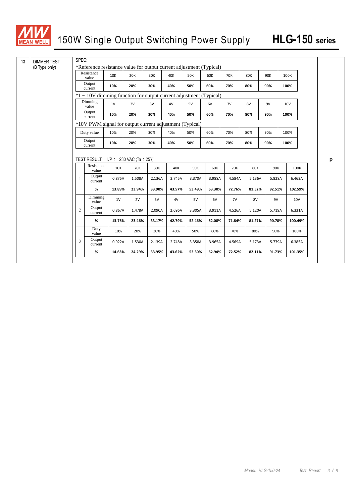

| 13 | <b>DIMMER TEST</b> | SPEC:                                                               |                                                                   |        |            |        |        |            |        |            |            |        |         |   |
|----|--------------------|---------------------------------------------------------------------|-------------------------------------------------------------------|--------|------------|--------|--------|------------|--------|------------|------------|--------|---------|---|
|    | (B Type only)      | *Reference resistance value for output current adjustment (Typical) |                                                                   |        |            |        |        |            |        |            |            |        |         |   |
|    |                    |                                                                     | Resistance<br>value                                               | 10K    | <b>20K</b> | 30K    | 40K    | <b>50K</b> | 60K    | <b>70K</b> | <b>80K</b> | 90K    | 100K    |   |
|    |                    |                                                                     | Output<br>current                                                 | 10%    | 20%        | 30%    | 40%    | 50%        | 60%    | 70%        | 80%        | 90%    | 100%    |   |
|    |                    |                                                                     | *1 ~ 10V dimming function for output current adjustment (Typical) |        |            |        |        |            |        |            |            |        |         |   |
|    |                    |                                                                     | Dimming<br>value                                                  | 1V     | 2V         | 3V     | 4V     | 5V         | 6V     | 7V         | 8V         | 9V     | 10V     |   |
|    |                    |                                                                     | Output<br>current                                                 | 10%    | 20%        | 30%    | 40%    | 50%        | 60%    | 70%        | 80%        | 90%    | 100%    |   |
|    |                    |                                                                     | *10V PWM signal for output current adjustment (Typical)           |        |            |        |        |            |        |            |            |        |         |   |
|    |                    |                                                                     | Duty value                                                        | 10%    | 20%        | 30%    | 40%    | 50%        | 60%    | 70%        | 80%        | 90%    | 100%    |   |
|    |                    |                                                                     | Output<br>current                                                 | 10%    | 20%        | 30%    | 40%    | 50%        | 60%    | 70%        | 80%        | 90%    | 100%    |   |
|    |                    |                                                                     |                                                                   |        |            |        |        |            |        |            |            |        |         |   |
|    |                    |                                                                     | TEST RESULT: $I/P$ : 230 VAC;Ta : 25°C                            |        |            |        |        |            |        |            |            |        |         | P |
|    |                    |                                                                     | Resistance<br>value                                               | 10K    | 20K        | 30K    | 40K    | <b>50K</b> | 60K    | <b>70K</b> | <b>80K</b> | 90K    | 100K    |   |
|    |                    | $\mathbf{1}$                                                        | Output<br>current                                                 | 0.875A | 1.508A     | 2.136A | 2.745A | 3.370A     | 3.988A | 4.584A     | 5.136A     | 5.828A | 6.463A  |   |
|    |                    |                                                                     | %                                                                 | 13.89% | 23.94%     | 33.90% | 43.57% | 53.49%     | 63.30% | 72.76%     | 81.52%     | 92.51% | 102.59% |   |
|    |                    |                                                                     | Dimming<br>value                                                  | 1V     | 2V         | 3V     | 4V     | 5V         | 6V     | 7V         | 8V         | 9V     | 10V     |   |
|    |                    | $\mathbf{2}$                                                        | Output<br>current                                                 | 0.867A | 1.478A     | 2.090A | 2.696A | 3.305A     | 3.911A | 4.526A     | 5.120A     | 5.719A | 6.331A  |   |
|    |                    |                                                                     | %                                                                 | 13.76% | 23.46%     | 33.17% | 42.79% | 52.46%     | 62.08% | 71.84%     | 81.27%     | 90.78% | 100.49% |   |
|    |                    |                                                                     | Duty<br>value                                                     | 10%    | 20%        | 30%    | 40%    | 50%        | 60%    | 70%        | 80%        | 90%    | 100%    |   |
|    |                    | 3                                                                   | Output<br>current                                                 | 0.922A | 1.530A     | 2.139A | 2.748A | 3.358A     | 3.965A | 4.569A     | 5.173A     | 5.779A | 6.385A  |   |
|    |                    |                                                                     | $\%$                                                              | 14.63% | 24.29%     | 33.95% | 43.62% | 53.30%     | 62.94% | 72.52%     | 82.11%     | 91.73% | 101.35% |   |
|    |                    |                                                                     |                                                                   |        |            |        |        |            |        |            |            |        |         |   |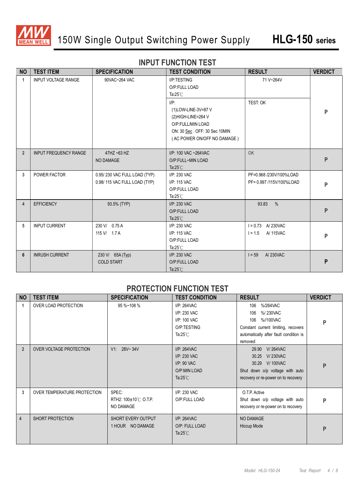

#### **INPUT FUNCTION TEST**

| <b>NO</b>            | <b>TEST ITEM</b>             | <b>SPECIFICATION</b>                                         | <b>TEST CONDITION</b>                                                                                                                     | <b>RESULT</b>                                       | <b>VERDICT</b> |
|----------------------|------------------------------|--------------------------------------------------------------|-------------------------------------------------------------------------------------------------------------------------------------------|-----------------------------------------------------|----------------|
| $\blacktriangleleft$ | <b>INPUT VOLTAGE RANGE</b>   | 90VAC~264 VAC                                                | I/P:TESTING<br>O/P:FULL LOAD<br>Ta: $25^{\circ}$ C                                                                                        | 71 V~264V                                           |                |
|                      |                              |                                                              | $I/P$ :<br>(1)LOW-LINE-3V=87 V<br>(2)HIGH-LINE=264 V<br>O/P:FULL/MIN LOAD<br>ON: 30 Sec. OFF: 30 Sec 10MIN<br>(AC POWER ON/OFF NO DAMAGE) | TEST: OK                                            | P              |
| $\overline{2}$       | <b>INPUT FREQUENCY RANGE</b> | $47$ HZ ~63 HZ<br>NO DAMAGE                                  | I/P: 100 VAC ~264VAC<br>O/P:FULL~MIN LOAD<br>Ta: $25^{\circ}$ C                                                                           | OK                                                  | P              |
| 3                    | POWER FACTOR                 | 0.95/230 VAC FULL LOAD (TYP)<br>0.98/115 VAC FULL LOAD (TYP) | I/P: 230 VAC<br>I/P: 115 VAC<br>O/P:FULL LOAD<br>Ta: $25^{\circ}$ C                                                                       | PF=0.968 /230V/100%LOAD<br>PF= 0.997 /115V/100%LOAD | P              |
| 4                    | <b>EFFICIENCY</b>            | 93.5% (TYP)                                                  | I/P: 230 VAC<br>O/P:FULL LOAD<br>Ta: $25^{\circ}$ C                                                                                       | 93.83<br>$\frac{0}{0}$                              | P              |
| 5                    | <b>INPUT CURRENT</b>         | 230 V/ 0.75 A<br>115 V/ 1.7 A                                | I/P: 230 VAC<br>I/P: 115 VAC<br>O/P:FULL LOAD<br>Ta: $25^{\circ}$ C                                                                       | $I = 0.73$ A 230VAC<br>A/ 115VAC<br>$1 = 1.5$       | P              |
| 6                    | <b>INRUSH CURRENT</b>        | 230 V/ 65A (Typ)<br><b>COLD START</b>                        | I/P: 230 VAC<br>O/P:FULL LOAD<br>Ta: $25^{\circ}$ C                                                                                       | A/230VAC<br>$1 = 59$                                | P              |

#### **PROTECTION FUNCTION TEST**

| <b>NO</b>      | <b>TEST ITEM</b>            | <b>SPECIFICATION</b>                       | <b>TEST CONDITION</b>                                                                 | <b>RESULT</b>                                                                                                                                      | <b>VERDICT</b> |
|----------------|-----------------------------|--------------------------------------------|---------------------------------------------------------------------------------------|----------------------------------------------------------------------------------------------------------------------------------------------------|----------------|
| 1              | OVER LOAD PROTECTION        | 95 %~108 %                                 | I/P: 264VAC<br>I/P: 230 VAC<br>I/P: 100 VAC<br>O/P:TESTING<br>Ta: $25^{\circ}$ C      | 106<br>%/264VAC<br>%/230VAC<br>106<br>%//100VAC<br>106<br>Constant current limiting, recovers<br>automatically after fault condition is<br>removed | P              |
| $\overline{2}$ | OVER VOLTAGE PROTECTION     | V1: 28V~34V                                | I/P: 264VAC<br>$I/P: 230$ VAC<br>$I/P$ : 90 VAC<br>O/P:MIN LOAD<br>Ta: $25^{\circ}$ C | 29.90 V/264VAC<br><b>V/230VAC</b><br>30.25<br>30.29 V/100VAC<br>Shut down o/p voltage with auto<br>recovery or re-power on to recovery             | P              |
| 3              | OVER TEMPERATURE PROTECTION | SPEC:<br>RTH2: 100±10℃ O.T.P.<br>NO DAMAGE | I/P: 230 VAC<br>O/P:FULL LOAD                                                         | O.T.P. Active<br>Shut down o/p voltage with auto<br>recovery or re-power on to recovery                                                            | P              |
| 4              | SHORT PROTECTION            | SHORT EVERY OUTPUT<br>1 HOUR NO DAMAGE     | I/P: 264VAC<br>O/P: FULL LOAD<br>Ta: $25^{\circ}$ C                                   | <b>NO DAMAGE</b><br>Hiccup Mode                                                                                                                    | P              |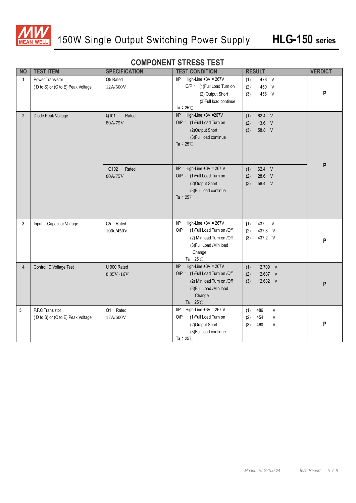

#### **COMPONENT STRESS TEST**

| <b>NO</b>      | <b>TEST ITEM</b>                                      | <b>SPECIFICATION</b>     | <b>TEST CONDITION</b>                                                                                                                                                         | <b>RESULT</b>                                               | <b>VERDICT</b> |
|----------------|-------------------------------------------------------|--------------------------|-------------------------------------------------------------------------------------------------------------------------------------------------------------------------------|-------------------------------------------------------------|----------------|
| $\mathbf{1}$   | Power Transistor<br>(D to S) or (C to E) Peak Voltage | Q5 Rated<br>12A/500V     | $I/P$ : High-Line +3V = 267V<br>478 V<br>(1)<br>O/P: (1)Full Load Turn on<br>450 V<br>(2)<br>456 V<br>(2) Output Short<br>(3)<br>(3) Full load continue<br>Ta: $25^{\circ}$ C |                                                             | P              |
| $2^{\circ}$    | Diode Peak Voltage                                    | Rated<br>Q101<br>80A/75V | I/P: High-Line +3V =267V<br>O/P: (1)Full Load Turn on<br>(2)Output Short<br>(3) Full load continue<br>Ta : 25 $\degree$ C                                                     | 62.4 V<br>(1)<br>13.6 V<br>(2)<br>(3)<br>58.8 V             | P              |
|                |                                                       | Q102<br>Rated<br>80A/75V | $I/P$ : High-Line +3V = 267 V<br>O/P: (1)Full Load Turn on<br>(2) Output Short<br>(3) Full load continue<br>Ta : 25 $\degree$ C                                               | 62.4 V<br>(1)<br>28.6 V<br>(2)<br>58.4 V<br>(3)             |                |
| 3              | Input Capacitor Voltage                               | C5 Rated:<br>100u/450V   | $I/P$ : High-Line +3V = 267V<br>O/P: (1)Full Load Turn on /Off<br>(2) Min load Turn on /Off<br>(3) Full Load /Min load<br>Change<br>Ta: $25^{\circ}$ C                        | 437<br>$\vee$<br>(1)<br>437.3 V<br>(2)<br>(3)<br>437.2 V    | P              |
| $\overline{4}$ | Control IC Voltage Test                               | U 900 Rated<br>8.85V~16V | $I/P$ : High-Line +3V = 267V<br>O/P: (1)Full Load Turn on /Off<br>(2) Min load Turn on /Off<br>(3) Full Load /Min load<br>Change<br>Ta: $25^{\circ}$ C                        | 12.709 V<br>(1)<br>12.637 V<br>(2)<br>12.632 V<br>(3)       | P              |
| 5              | P.F.C Transistor<br>(D to S) or (C to E) Peak Voltage | Q1 Rated<br>17A/600V     | $I/P$ : High-Line +3V = 267 V<br>O/P: (1)Full Load Turn on<br>(2)Output Short<br>(3) Full load continue<br>Ta: $25^{\circ}$ C                                                 | V<br>486<br>(1)<br>$\sf V$<br>454<br>(2)<br>V<br>460<br>(3) | P              |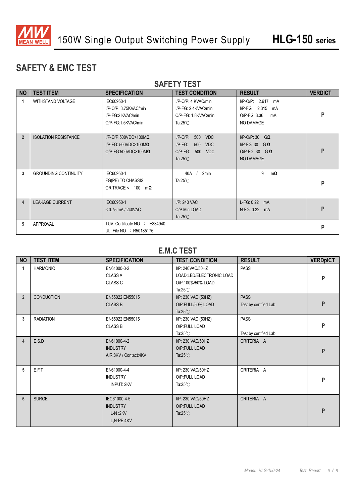

#### **SAFETY & EMC TEST**

| <b>NO</b>      | <b>TEST ITEM</b>            | <b>SPECIFICATION</b>                                                                              | <b>TEST CONDITION</b>                                                                                                        | <b>RESULT</b>                                                                             | <b>VERDICT</b> |  |
|----------------|-----------------------------|---------------------------------------------------------------------------------------------------|------------------------------------------------------------------------------------------------------------------------------|-------------------------------------------------------------------------------------------|----------------|--|
|                | <b>WITHSTAND VOLTAGE</b>    | IEC60950-1<br>I/P-O/P: 3.75KVAC/min<br>I/P-FG:2 KVAC/min<br>O/P-FG:1.5KVAC/min                    | I/P-O/P: 4 KVAC/min<br>I/P-FG: 2.4KVAC/min<br>O/P-FG: 1.8KVAC/min<br>Ta:25 $°C$                                              | $I/P$ -O/P: 2.617<br>mA<br>$I/P-FG: 2.315$<br>mA<br>O/P-FG: 3.36<br>mA<br>NO DAMAGE       | P              |  |
| $\overline{2}$ | <b>ISOLATION RESISTANCE</b> | $I/P$ -O/P:500VDC>100M $\Omega$<br>I/P-FG: 500VDC>100M $\Omega$<br>$O/P$ -FG:500VDC>100M $\Omega$ | $I/P-O/P$ :<br>500<br><b>VDC</b><br>$I/P-FG$ :<br>500<br><b>VDC</b><br>$O/P-FG$ :<br><b>VDC</b><br>500<br>Ta: $25^{\circ}$ C | $I/P$ -O/P: 30 GQ<br>$I/P-FG: 30$ G $\Omega$<br>O/P-FG: 30 $G \Omega$<br><b>NO DAMAGE</b> | P              |  |
| 3              | <b>GROUNDING CONTINUITY</b> | IEC60950-1<br>FG(PE) TO CHASSIS<br>OR TRACE < $100 \text{ m}\Omega$                               | 2 <sub>min</sub><br>40A<br>Ta: $25^{\circ}$ C                                                                                | 9<br>$m\Omega$                                                                            | P              |  |
| 4              | <b>LEAKAGE CURRENT</b>      | IEC60950-1<br>$< 0.75$ mA / 240VAC                                                                | I/P: 240 VAC<br>O/P:Min LOAD<br>Ta: $25^{\circ}$ C                                                                           | $L-FG: 0.22$<br>mA<br>N-FG: 0.22 mA                                                       | P              |  |
| 5              | <b>APPROVAL</b>             | TUV: Certificate NO : E334940<br>UL: File NO : R50185176                                          |                                                                                                                              |                                                                                           | P              |  |

#### **SAFETY TEST**

#### **E.M.C TEST**

| <b>NO</b>      | <b>TEST ITEM</b>  | <b>SPECIFICATION</b>                                       | <b>TEST CONDITION</b>                                                                                  | <b>RESULT</b> | <b>VERDpICT</b> |
|----------------|-------------------|------------------------------------------------------------|--------------------------------------------------------------------------------------------------------|---------------|-----------------|
| 1              | <b>HARMONIC</b>   | EN61000-3-2<br><b>CLASS A</b><br>CLASS <sub>C</sub>        | <b>PASS</b><br>I/P: 240VAC/50HZ<br>LOAD:LED/ELECTRONIC LOAD<br>O/P:100%/50% LOAD<br>Ta: $25^{\circ}$ C |               | P               |
| $\overline{2}$ | <b>CONDUCTION</b> | EN55022 EN55015<br><b>CLASS B</b>                          | I/P: 230 VAC (50HZ)<br><b>PASS</b><br>O/P:FULL/50% LOAD<br>Test by certified Lab<br>Ta: $25^{\circ}$ C |               | P               |
| 3              | <b>RADIATION</b>  | EN55022 EN55015<br><b>CLASS B</b>                          | <b>PASS</b><br>I/P: 230 VAC (50HZ)<br>O/P:FULL LOAD<br>Ta: $25^{\circ}$ C<br>Test by certified Lab     |               | P               |
| $\overline{4}$ | E.S.D             | EN61000-4-2<br><b>INDUSTRY</b><br>AIR:8KV / Contact:4KV    | I/P: 230 VAC/50HZ<br>O/P:FULL LOAD<br>Ta: $25^{\circ}$ C                                               | CRITERIA A    | P               |
| 5              | E.F.T             | EN61000-4-4<br><b>INDUSTRY</b><br><b>INPUT: 2KV</b>        | I/P: 230 VAC/50HZ<br>O/P:FULL LOAD<br>Ta: $25^{\circ}$ C                                               | CRITERIA A    | P               |
| 6              | <b>SURGE</b>      | IEC61000-4-5<br><b>INDUSTRY</b><br>$L-N:2KV$<br>L,N-PE:4KV | I/P: 230 VAC/50HZ<br>O/P:FULL LOAD<br>Ta: $25^{\circ}$ C                                               | CRITERIA A    | P               |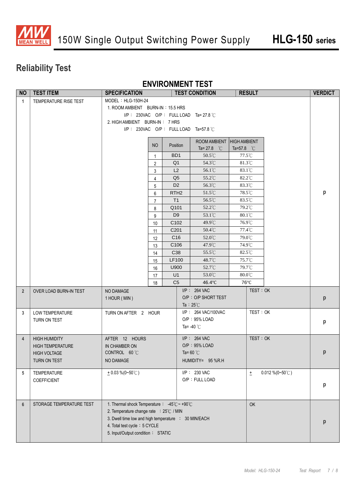

### **Reliability Test**

#### **ENVIRONMENT TEST**

| p                  |
|--------------------|
|                    |
|                    |
|                    |
|                    |
|                    |
|                    |
|                    |
|                    |
|                    |
|                    |
|                    |
|                    |
| $\mathsf{p}% _{T}$ |
|                    |
|                    |
| p                  |
|                    |
|                    |
|                    |
| p                  |
|                    |
|                    |
|                    |
| р                  |
|                    |
|                    |
|                    |
| p                  |
|                    |
|                    |
|                    |